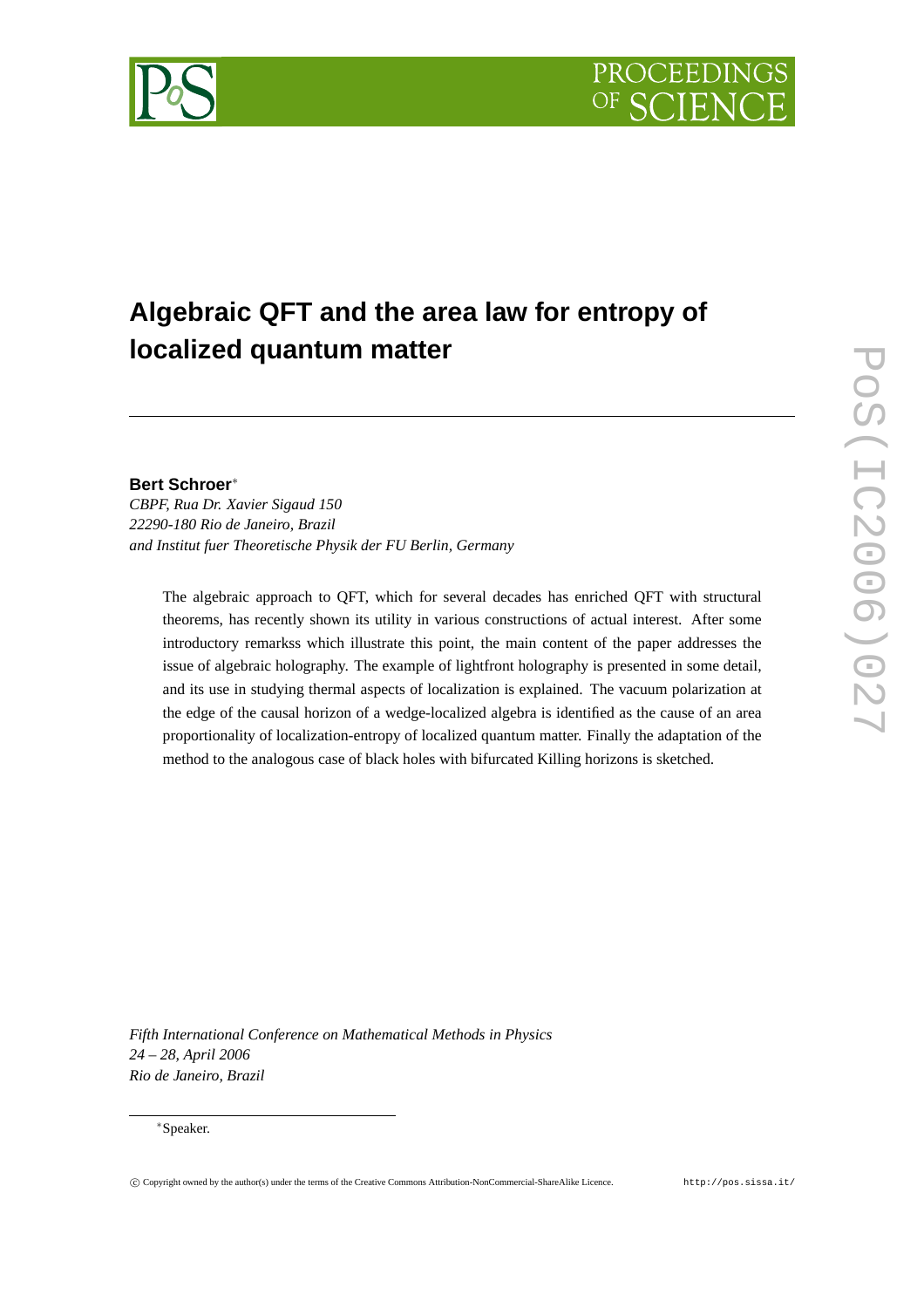



# **Algebraic QFT and the area law for entropy of localized quantum matter**

# **Bert Schroer**<sup>∗</sup>

*CBPF, Rua Dr. Xavier Sigaud 150 22290-180 Rio de Janeiro, Brazil and Institut fuer Theoretische Physik der FU Berlin, Germany*

The algebraic approach to QFT, which for several decades has enriched QFT with structural theorems, has recently shown its utility in various constructions of actual interest. After some introductory remarkss which illustrate this point, the main content of the paper addresses the issue of algebraic holography. The example of lightfront holography is presented in some detail, and its use in studying thermal aspects of localization is explained. The vacuum polarization at the edge of the causal horizon of a wedge-localized algebra is identified as the cause of an area proportionality of localization-entropy of localized quantum matter. Finally the adaptation of the method to the analogous case of black holes with bifurcated Killing horizons is sketched.

*Fifth International Conference on Mathematical Methods in Physics 24 – 28, April 2006 Rio de Janeiro, Brazil*

### <sup>∗</sup>Speaker.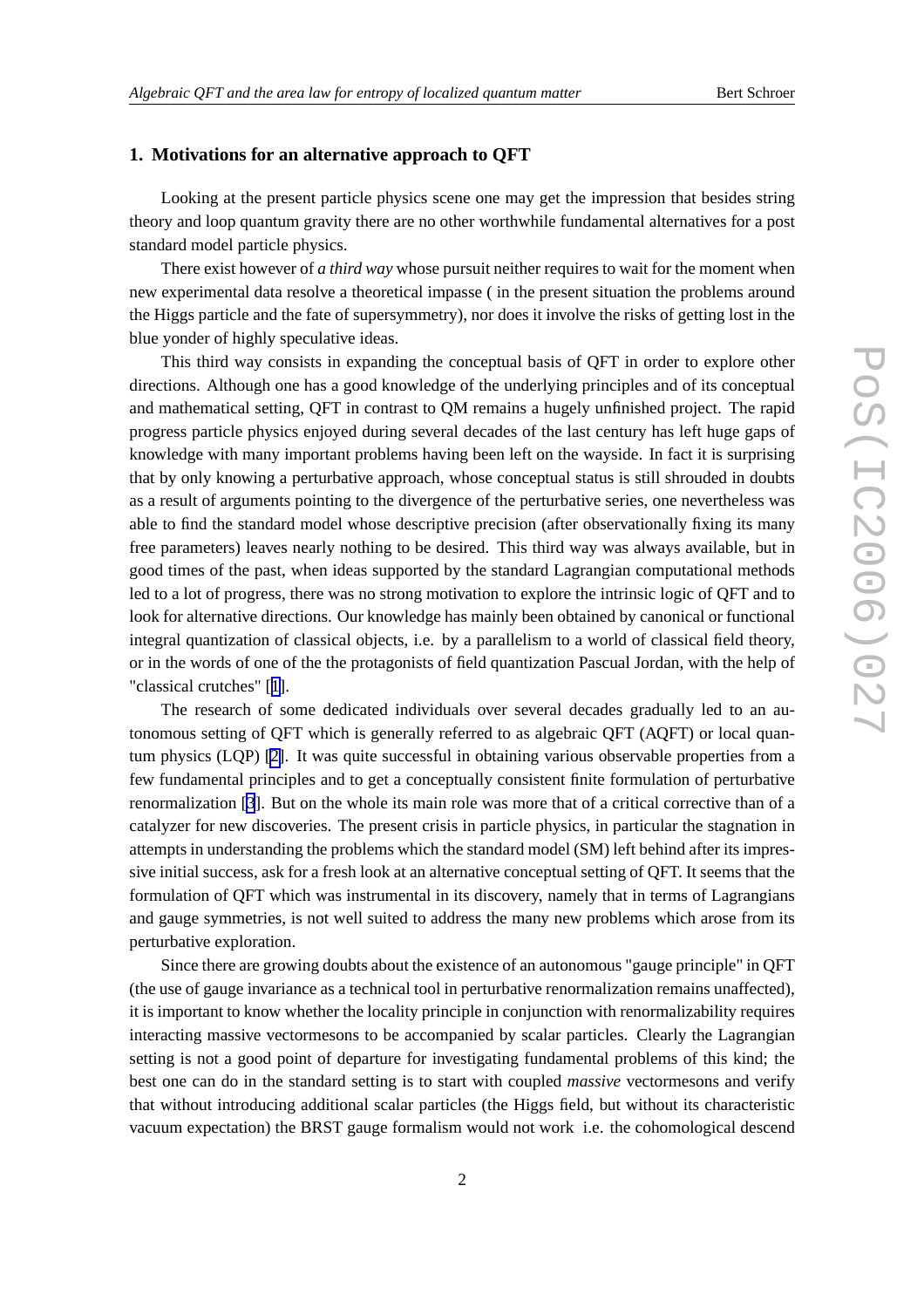#### **1. Motivations for an alternative approach to QFT**

Looking at the present particle physics scene one may get the impression that besides string theory and loop quantum gravity there are no other worthwhile fundamental alternatives for a post standard model particle physics.

There exist however of *a third way* whose pursuit neither requires to wait for the moment when new experimental data resolve a theoretical impasse ( in the present situation the problems around the Higgs particle and the fate of supersymmetry), nor does it involve the risks of getting lost in the blue yonder of highly speculative ideas.

This third way consists in expanding the conceptual basis of QFT in order to explore other directions. Although one has a good knowledge of the underlying principles and of its conceptual and mathematical setting, QFT in contrast to QM remains a hugely unfinished project. The rapid progress particle physics enjoyed during several decades of the last century has left huge gaps of knowledge with many important problems having been left on the wayside. In fact it is surprising that by only knowing a perturbative approach, whose conceptual status is still shrouded in doubts as a result of arguments pointing to the divergence of the perturbative series, one nevertheless was able to find the standard model whose descriptive precision (after observationally fixing its many free parameters) leaves nearly nothing to be desired. This third way was always available, but in good times of the past, when ideas supported by the standard Lagrangian computational methods led to a lot of progress, there was no strong motivation to explore the intrinsic logic of QFT and to look for alternative directions. Our knowledge has mainly been obtained by canonical or functional integral quantization of classical objects, i.e. by a parallelism to a world of classical field theory, or in the words of one of the the protagonists of field quantization Pascual Jordan, with the help of "classical crutches" [[1](#page-10-0)].

The research of some dedicated individuals over several decades gradually led to an autonomous setting of QFT which is generally referred to as algebraic QFT (AQFT) or local quantum physics (LQP) [\[2\]](#page-10-0). It was quite successful in obtaining various observable properties from a few fundamental principles and to get a conceptually consistent finite formulation of perturbative renormalization [[3](#page-10-0)]. But on the whole its main role was more that of a critical corrective than of a catalyzer for new discoveries. The present crisis in particle physics, in particular the stagnation in attempts in understanding the problems which the standard model (SM) left behind after its impressive initial success, ask for a fresh look at an alternative conceptual setting of QFT. It seems that the formulation of QFT which was instrumental in its discovery, namely that in terms of Lagrangians and gauge symmetries, is not well suited to address the many new problems which arose from its perturbative exploration.

Since there are growing doubts about the existence of an autonomous "gauge principle" in QFT (the use of gauge invariance as a technical tool in perturbative renormalization remains unaffected), it is important to know whether the locality principle in conjunction with renormalizability requires interacting massive vectormesons to be accompanied by scalar particles. Clearly the Lagrangian setting is not a good point of departure for investigating fundamental problems of this kind; the best one can do in the standard setting is to start with coupled *massive* vectormesons and verify that without introducing additional scalar particles (the Higgs field, but without its characteristic vacuum expectation) the BRST gauge formalism would not work i.e. the cohomological descend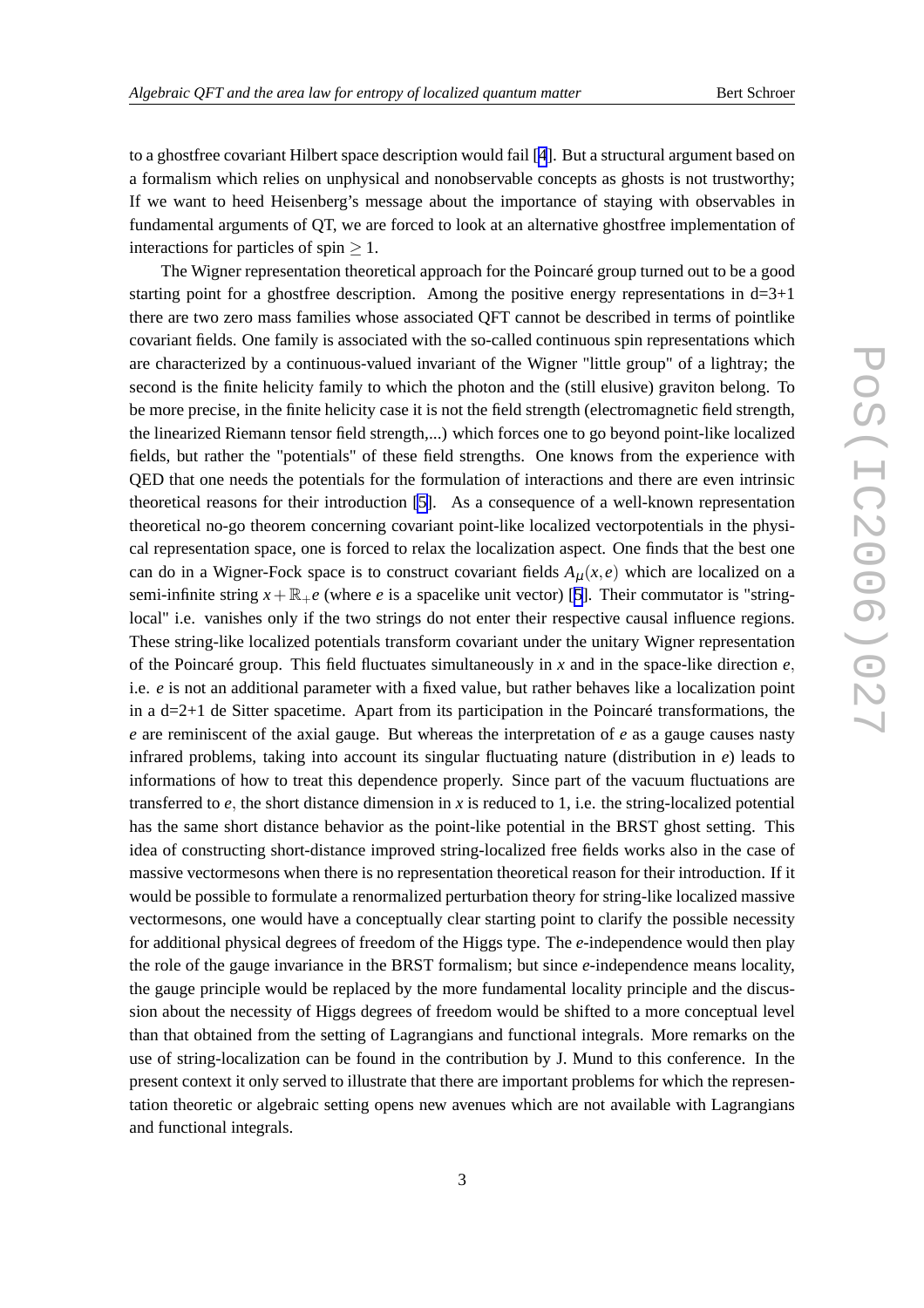to a ghostfree covariant Hilbert space description would fail [[4](#page-10-0)]. But a structural argument based on a formalism which relies on unphysical and nonobservable concepts as ghosts is not trustworthy; If we want to heed Heisenberg's message about the importance of staying with observables in fundamental arguments of QT, we are forced to look at an alternative ghostfree implementation of interactions for particles of spin  $> 1$ .

The Wigner representation theoretical approach for the Poincaré group turned out to be a good starting point for a ghostfree description. Among the positive energy representations in  $d=3+1$ there are two zero mass families whose associated QFT cannot be described in terms of pointlike covariant fields. One family is associated with the so-called continuous spin representations which are characterized by a continuous-valued invariant of the Wigner "little group" of a lightray; the second is the finite helicity family to which the photon and the (still elusive) graviton belong. To be more precise, in the finite helicity case it is not the field strength (electromagnetic field strength, the linearized Riemann tensor field strength,...) which forces one to go beyond point-like localized fields, but rather the "potentials" of these field strengths. One knows from the experience with QED that one needs the potentials for the formulation of interactions and there are even intrinsic theoretical reasons for their introduction [\[5\]](#page-10-0). As a consequence of a well-known representation theoretical no-go theorem concerning covariant point-like localized vectorpotentials in the physical representation space, one is forced to relax the localization aspect. One finds that the best one can do in a Wigner-Fock space is to construct covariant fields  $A<sub>u</sub>(x, e)$  which are localized on a semi-infinite string  $x+\mathbb{R}_+e$  (where *e* is a spacelike unit vector) [[5](#page-10-0)]. Their commutator is "stringlocal" i.e. vanishes only if the two strings do not enter their respective causal influence regions. These string-like localized potentials transform covariant under the unitary Wigner representation of the Poincaré group. This field fluctuates simultaneously in *x* and in the space-like direction *e*, i.e. *e* is not an additional parameter with a fixed value, but rather behaves like a localization point in a  $d=2+1$  de Sitter spacetime. Apart from its participation in the Poincaré transformations, the *e* are reminiscent of the axial gauge. But whereas the interpretation of *e* as a gauge causes nasty infrared problems, taking into account its singular fluctuating nature (distribution in *e*) leads to informations of how to treat this dependence properly. Since part of the vacuum fluctuations are transferred to  $e$ , the short distance dimension in  $x$  is reduced to 1, i.e. the string-localized potential has the same short distance behavior as the point-like potential in the BRST ghost setting. This idea of constructing short-distance improved string-localized free fields works also in the case of massive vectormesons when there is no representation theoretical reason for their introduction. If it would be possible to formulate a renormalized perturbation theory for string-like localized massive vectormesons, one would have a conceptually clear starting point to clarify the possible necessity for additional physical degrees of freedom of the Higgs type. The *e*-independence would then play the role of the gauge invariance in the BRST formalism; but since *e*-independence means locality, the gauge principle would be replaced by the more fundamental locality principle and the discussion about the necessity of Higgs degrees of freedom would be shifted to a more conceptual level than that obtained from the setting of Lagrangians and functional integrals. More remarks on the use of string-localization can be found in the contribution by J. Mund to this conference. In the present context it only served to illustrate that there are important problems for which the representation theoretic or algebraic setting opens new avenues which are not available with Lagrangians and functional integrals.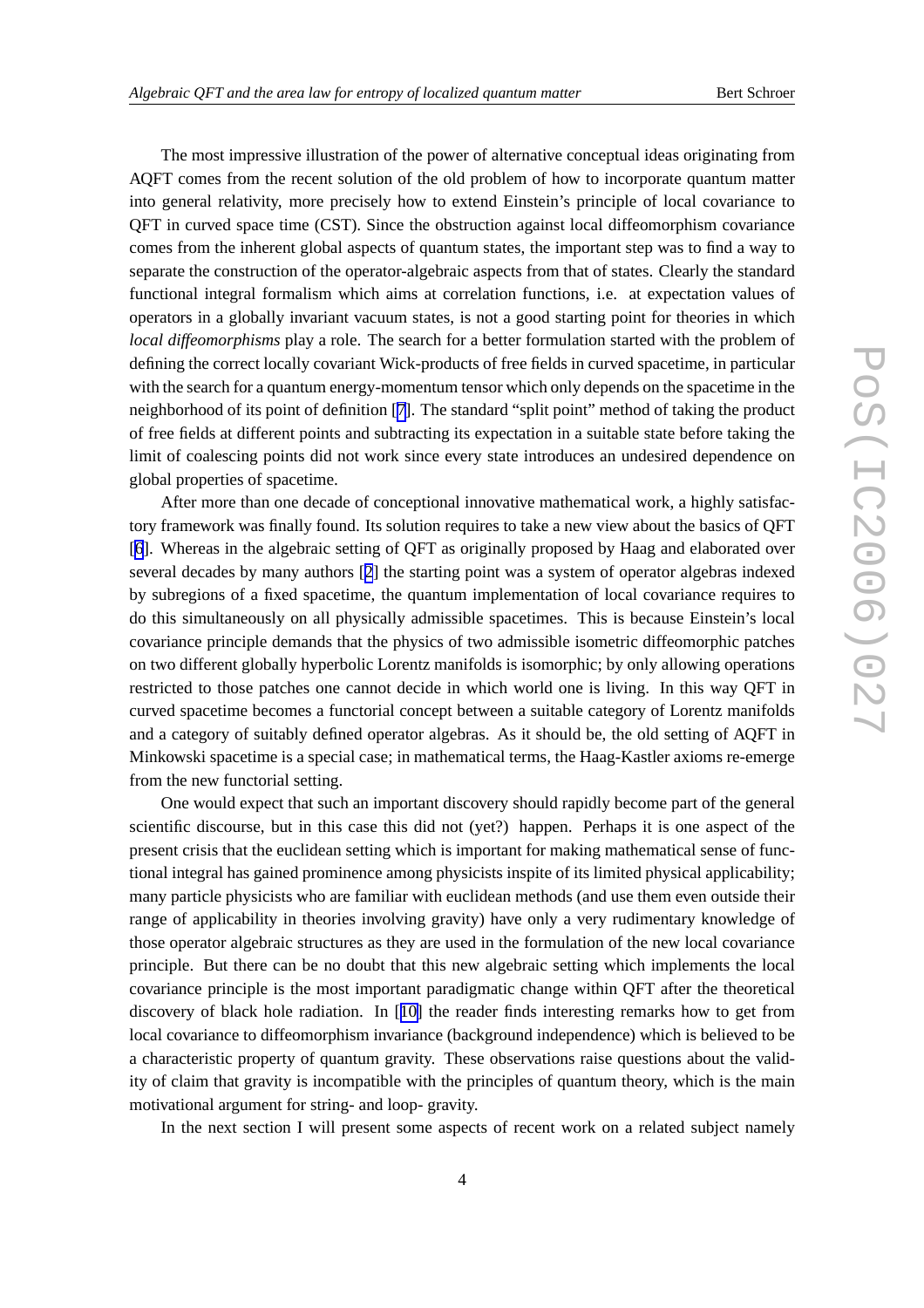The most impressive illustration of the power of alternative conceptual ideas originating from AQFT comes from the recent solution of the old problem of how to incorporate quantum matter into general relativity, more precisely how to extend Einstein's principle of local covariance to QFT in curved space time (CST). Since the obstruction against local diffeomorphism covariance comes from the inherent global aspects of quantum states, the important step was to find a way to separate the construction of the operator-algebraic aspects from that of states. Clearly the standard functional integral formalism which aims at correlation functions, i.e. at expectation values of operators in a globally invariant vacuum states, is not a good starting point for theories in which *local diffeomorphisms* play a role. The search for a better formulation started with the problem of defining the correct locally covariant Wick-products of free fields in curved spacetime, in particular with the search for a quantum energy-momentum tensor which only depends on the spacetime in the neighborhood of its point of definition [[7](#page-10-0)]. The standard "split point" method of taking the product of free fields at different points and subtracting its expectation in a suitable state before taking the limit of coalescing points did not work since every state introduces an undesired dependence on global properties of spacetime.

After more than one decade of conceptional innovative mathematical work, a highly satisfactory framework was finally found. Its solution requires to take a new view about the basics of QFT [[6](#page-10-0)]. Whereas in the algebraic setting of QFT as originally proposed by Haag and elaborated over several decades by many authors [[2](#page-10-0)] the starting point was a system of operator algebras indexed by subregions of a fixed spacetime, the quantum implementation of local covariance requires to do this simultaneously on all physically admissible spacetimes. This is because Einstein's local covariance principle demands that the physics of two admissible isometric diffeomorphic patches on two different globally hyperbolic Lorentz manifolds is isomorphic; by only allowing operations restricted to those patches one cannot decide in which world one is living. In this way QFT in curved spacetime becomes a functorial concept between a suitable category of Lorentz manifolds and a category of suitably defined operator algebras. As it should be, the old setting of AQFT in Minkowski spacetime is a special case; in mathematical terms, the Haag-Kastler axioms re-emerge from the new functorial setting.

One would expect that such an important discovery should rapidly become part of the general scientific discourse, but in this case this did not (yet?) happen. Perhaps it is one aspect of the present crisis that the euclidean setting which is important for making mathematical sense of functional integral has gained prominence among physicists inspite of its limited physical applicability; many particle physicists who are familiar with euclidean methods (and use them even outside their range of applicability in theories involving gravity) have only a very rudimentary knowledge of those operator algebraic structures as they are used in the formulation of the new local covariance principle. But there can be no doubt that this new algebraic setting which implements the local covariance principle is the most important paradigmatic change within QFT after the theoretical discovery of black hole radiation. In [[10\]](#page-10-0) the reader finds interesting remarks how to get from local covariance to diffeomorphism invariance (background independence) which is believed to be a characteristic property of quantum gravity. These observations raise questions about the validity of claim that gravity is incompatible with the principles of quantum theory, which is the main motivational argument for string- and loop- gravity.

In the next section I will present some aspects of recent work on a related subject namely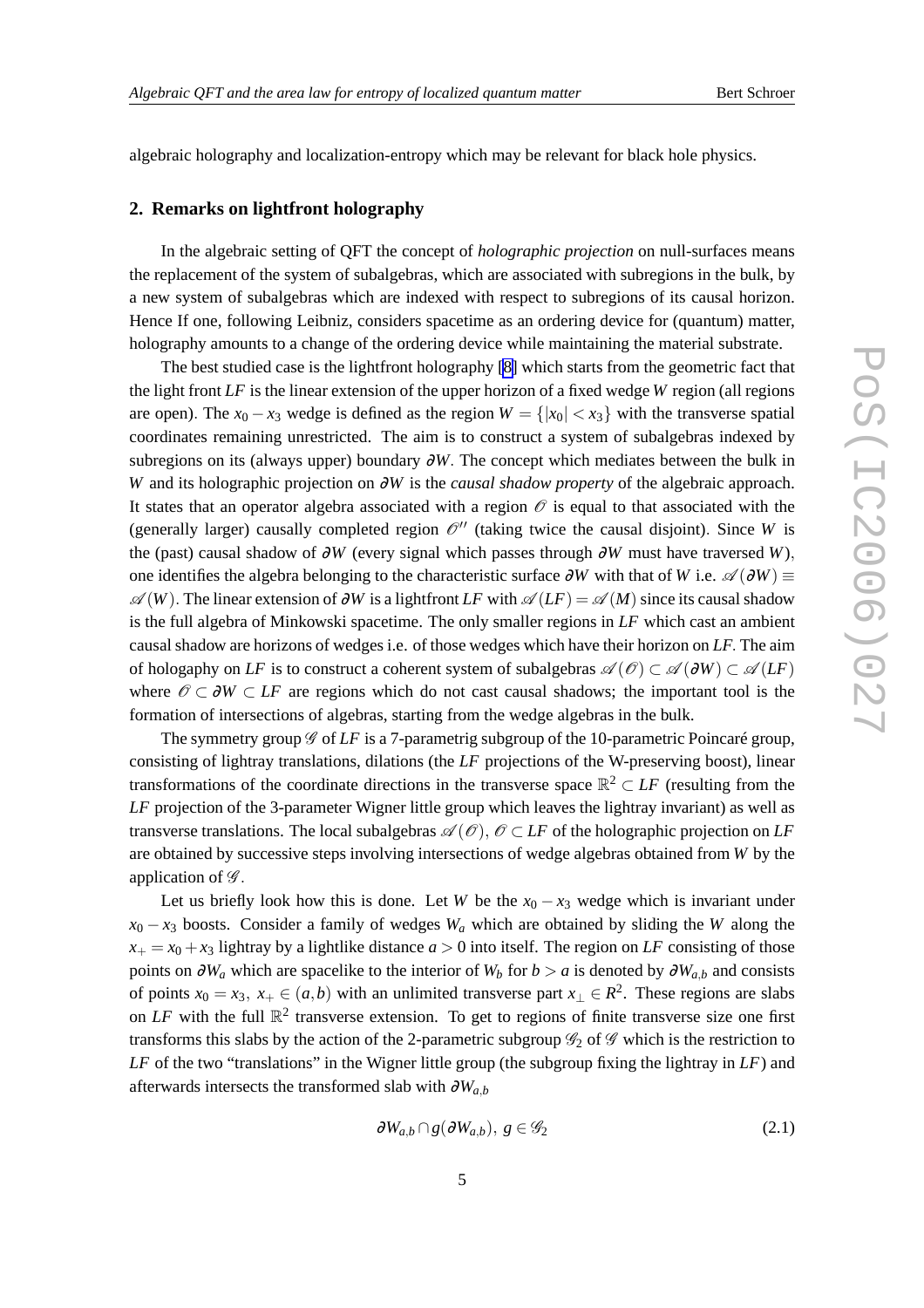algebraic holography and localization-entropy which may be relevant for black hole physics.

## **2. Remarks on lightfront holography**

In the algebraic setting of QFT the concept of *holographic projection* on null-surfaces means the replacement of the system of subalgebras, which are associated with subregions in the bulk, by a new system of subalgebras which are indexed with respect to subregions of its causal horizon. Hence If one, following Leibniz, considers spacetime as an ordering device for (quantum) matter, holography amounts to a change of the ordering device while maintaining the material substrate.

The best studied case is the lightfront holography [\[8\]](#page-10-0) which starts from the geometric fact that the light front *LF* is the linear extension of the upper horizon of a fixed wedge *W* region (all regions are open). The  $x_0 - x_3$  wedge is defined as the region  $W = \{|x_0| < x_3\}$  with the transverse spatial coordinates remaining unrestricted. The aim is to construct a system of subalgebras indexed by subregions on its (always upper) boundary ∂*W*. The concept which mediates between the bulk in *W* and its holographic projection on ∂*W* is the *causal shadow property* of the algebraic approach. It states that an operator algebra associated with a region  $\mathcal O$  is equal to that associated with the (generally larger) causally completed region  $\mathcal{O}''$  (taking twice the causal disjoint). Since *W* is the (past) causal shadow of ∂*W* (every signal which passes through ∂*W* must have traversed *W*), one identifies the algebra belonging to the characteristic surface  $\partial W$  with that of *W* i.e.  $\mathscr{A}(\partial W)$  ≡  $\mathscr{A}(W)$ . The linear extension of  $\partial W$  is a lightfront LF with  $\mathscr{A}(LF) = \mathscr{A}(M)$  since its causal shadow is the full algebra of Minkowski spacetime. The only smaller regions in *LF* which cast an ambient causal shadow are horizons of wedges i.e. of those wedges which have their horizon on *LF*. The aim of hologaphy on *LF* is to construct a coherent system of subalgebras  $\mathscr{A}(\mathscr{O}) \subset \mathscr{A}(\partial W) \subset \mathscr{A}(LF)$ where  $\mathscr{O} \subset \partial W \subset LF$  are regions which do not cast causal shadows; the important tool is the formation of intersections of algebras, starting from the wedge algebras in the bulk.

The symmetry group  $\mathscr G$  of LF is a 7-parametrig subgroup of the 10-parametric Poincaré group, consisting of lightray translations, dilations (the *LF* projections of the W-preserving boost), linear transformations of the coordinate directions in the transverse space  $\mathbb{R}^2 \subset L^2$  (resulting from the *LF* projection of the 3-parameter Wigner little group which leaves the lightray invariant) as well as transverse translations. The local subalgebras  $\mathscr{A}(\mathscr{O})$ ,  $\mathscr{O} \subset LF$  of the holographic projection on LF are obtained by successive steps involving intersections of wedge algebras obtained from *W* by the application of  $\mathscr{G}$ .

Let us briefly look how this is done. Let *W* be the  $x_0 - x_3$  wedge which is invariant under  $x_0 - x_3$  boosts. Consider a family of wedges  $W_a$  which are obtained by sliding the *W* along the  $x_+ = x_0 + x_3$  lightray by a lightlike distance  $a > 0$  into itself. The region on *LF* consisting of those points on  $\partial W_a$  which are spacelike to the interior of  $W_b$  for  $b > a$  is denoted by  $\partial W_{a,b}$  and consists of points  $x_0 = x_3$ ,  $x_+ \in (a,b)$  with an unlimited transverse part  $x_\perp \in R^2$ . These regions are slabs on  $LF$  with the full  $\mathbb{R}^2$  transverse extension. To get to regions of finite transverse size one first transforms this slabs by the action of the 2-parametric subgroup  $\mathscr{G}_2$  of  $\mathscr{G}$  which is the restriction to *LF* of the two "translations" in the Wigner little group (the subgroup fixing the lightray in *LF*) and afterwards intersects the transformed slab with <sup>∂</sup>*Wa*,*<sup>b</sup>*

$$
\partial W_{a,b} \cap g(\partial W_{a,b}), \ g \in \mathscr{G}_2 \tag{2.1}
$$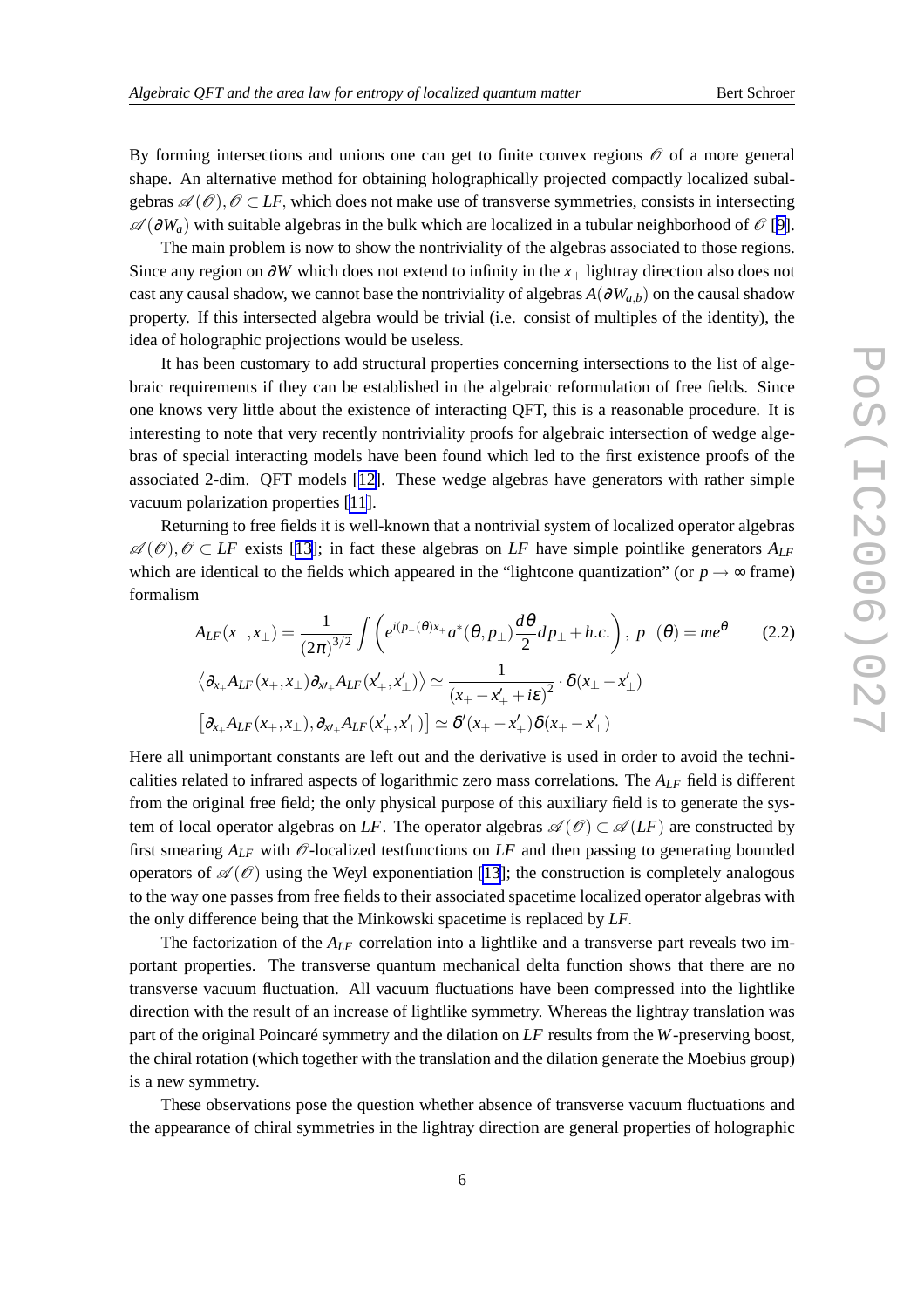By forming intersections and unions one can get to finite convex regions  $\mathcal O$  of a more general shape. An alternative method for obtaining holographically projected compactly localized subalgebras  $\mathscr{A}(\mathscr{O}), \mathscr{O} \subset LF$ , which does not make use of transverse symmetries, consists in intersecting A (∂*Wa*) with suitable algebras in the bulk which are localized in a tubular neighborhood of O [\[9\]](#page-10-0).

The main problem is now to show the nontriviality of the algebras associated to those regions. Since any region on <sup>∂</sup>*W* which does not extend to infinity in the *x*<sup>+</sup> lightray direction also does not cast any causal shadow, we cannot base the nontriviality of algebras  $A(\partial W_{a,b})$  on the causal shadow property. If this intersected algebra would be trivial (i.e. consist of multiples of the identity), the idea of holographic projections would be useless.

It has been customary to add structural properties concerning intersections to the list of algebraic requirements if they can be established in the algebraic reformulation of free fields. Since one knows very little about the existence of interacting QFT, this is a reasonable procedure. It is interesting to note that very recently nontriviality proofs for algebraic intersection of wedge algebras of special interacting models have been found which led to the first existence proofs of the associated 2-dim. QFT models [[12\]](#page-10-0). These wedge algebras have generators with rather simple vacuum polarization properties [\[11](#page-10-0)].

Returning to free fields it is well-known that a nontrivial system of localized operator algebras  $\mathscr{A}(\mathscr{O}), \mathscr{O} \subset L\mathscr{F}$  exists [\[13](#page-10-0)]; in fact these algebras on LF have simple pointlike generators  $A_{LF}$ which are identical to the fields which appeared in the "lightcone quantization" (or  $p \rightarrow \infty$  frame) formalism

$$
A_{LF}(x_+,x_\perp) = \frac{1}{(2\pi)^{3/2}} \int \left( e^{i(p_-(\theta)x_+} a^*(\theta, p_\perp) \frac{d\theta}{2} dp_\perp + h.c. \right), \ p_-(\theta) = me^{\theta} \tag{2.2}
$$

$$
\left\langle \partial_{x_+} A_{LF}(x_+,x_\perp) \partial_{x'\perp} A_{LF}(x'_+,x'_\perp) \right\rangle \simeq \frac{1}{(x_+-x'_++i\epsilon)^2} \cdot \delta(x_\perp - x'_\perp)
$$

$$
\left[ \partial_{x_+} A_{LF}(x_+,x_\perp), \partial_{x'\perp} A_{LF}(x'_+,x'_\perp) \right] \simeq \delta'(x_+-x'_+)\delta(x_+-x'_\perp)
$$

Here all unimportant constants are left out and the derivative is used in order to avoid the technicalities related to infrared aspects of logarithmic zero mass correlations. The *ALF* field is different from the original free field; the only physical purpose of this auxiliary field is to generate the system of local operator algebras on *LF*. The operator algebras  $\mathscr{A}(\mathscr{O}) \subset \mathscr{A}(LF)$  are constructed by first smearing  $A_{LF}$  with  $\mathcal{O}$ -localized testfunctions on LF and then passing to generating bounded operators of  $\mathscr{A}(\mathscr{O})$  using the Weyl exponentiation [\[13](#page-10-0)]; the construction is completely analogous to the way one passes from free fields to their associated spacetime localized operator algebras with the only difference being that the Minkowski spacetime is replaced by *LF*.

The factorization of the  $A_{LF}$  correlation into a lightlike and a transverse part reveals two important properties. The transverse quantum mechanical delta function shows that there are no transverse vacuum fluctuation. All vacuum fluctuations have been compressed into the lightlike direction with the result of an increase of lightlike symmetry. Whereas the lightray translation was part of the original Poincaré symmetry and the dilation on *LF* results from the *W*-preserving boost, the chiral rotation (which together with the translation and the dilation generate the Moebius group) is a new symmetry.

These observations pose the question whether absence of transverse vacuum fluctuations and the appearance of chiral symmetries in the lightray direction are general properties of holographic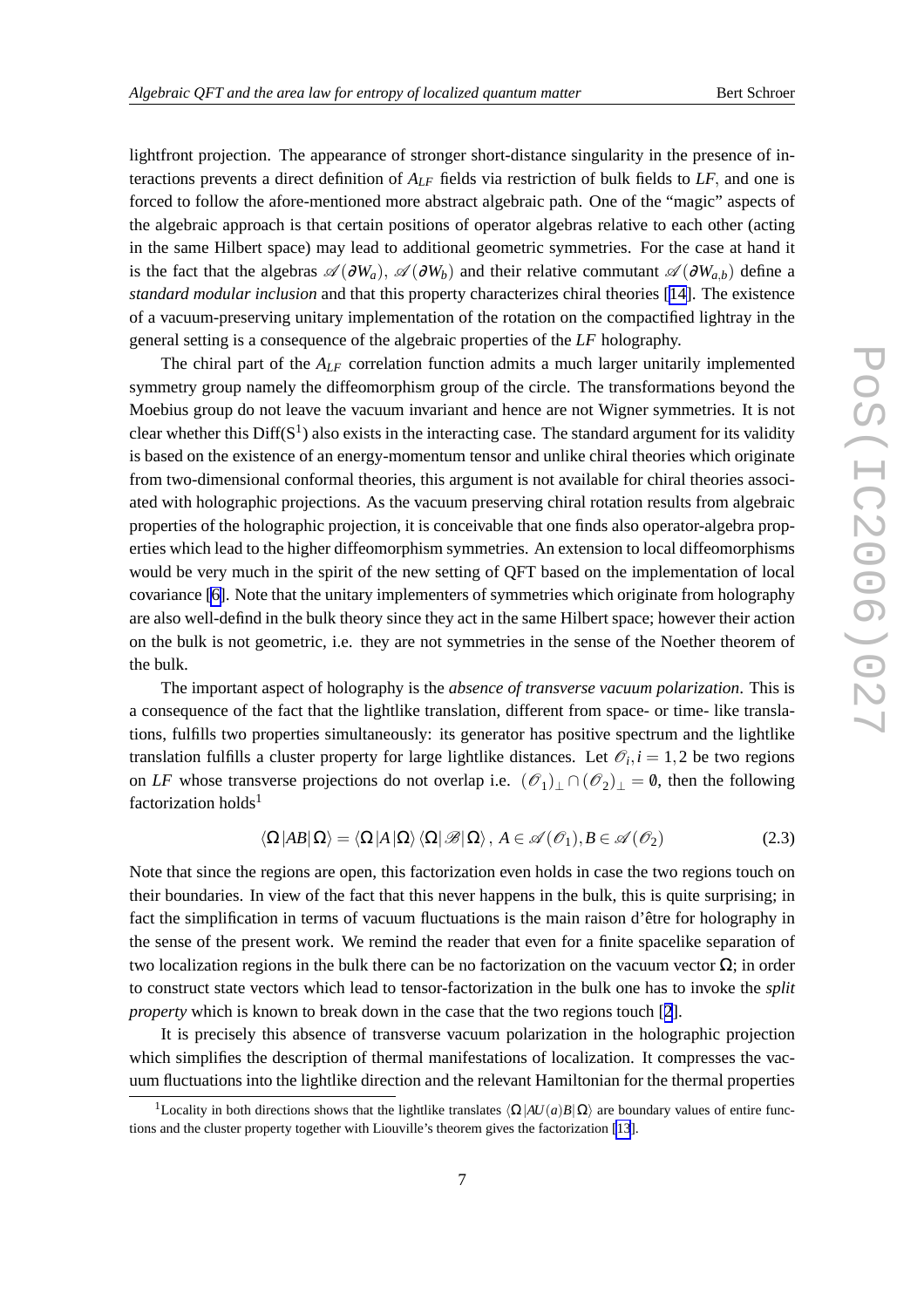lightfront projection. The appearance of stronger short-distance singularity in the presence of interactions prevents a direct definition of *ALF* fields via restriction of bulk fields to *LF*, and one is forced to follow the afore-mentioned more abstract algebraic path. One of the "magic" aspects of the algebraic approach is that certain positions of operator algebras relative to each other (acting in the same Hilbert space) may lead to additional geometric symmetries. For the case at hand it is the fact that the algebras  $\mathscr{A}(\partial W_a)$ ,  $\mathscr{A}(\partial W_b)$  and their relative commutant  $\mathscr{A}(\partial W_{a,b})$  define a *standard modular inclusion* and that this property characterizes chiral theories [\[14\]](#page-10-0). The existence of a vacuum-preserving unitary implementation of the rotation on the compactified lightray in the general setting is a consequence of the algebraic properties of the *LF* holography.

The chiral part of the *ALF* correlation function admits a much larger unitarily implemented symmetry group namely the diffeomorphism group of the circle. The transformations beyond the Moebius group do not leave the vacuum invariant and hence are not Wigner symmetries. It is not clear whether this  $Diff(S^1)$  also exists in the interacting case. The standard argument for its validity is based on the existence of an energy-momentum tensor and unlike chiral theories which originate from two-dimensional conformal theories, this argument is not available for chiral theories associated with holographic projections. As the vacuum preserving chiral rotation results from algebraic properties of the holographic projection, it is conceivable that one finds also operator-algebra properties which lead to the higher diffeomorphism symmetries. An extension to local diffeomorphisms would be very much in the spirit of the new setting of QFT based on the implementation of local covariance [\[6\]](#page-10-0). Note that the unitary implementers of symmetries which originate from holography are also well-defind in the bulk theory since they act in the same Hilbert space; however their action on the bulk is not geometric, i.e. they are not symmetries in the sense of the Noether theorem of the bulk.

The important aspect of holography is the *absence of transverse vacuum polarization*. This is a consequence of the fact that the lightlike translation, different from space- or time- like translations, fulfills two properties simultaneously: its generator has positive spectrum and the lightlike translation fulfills a cluster property for large lightlike distances. Let  $\mathcal{O}_i$ ,  $i = 1, 2$  be two regions on *LF* whose transverse projections do not overlap i.e.  $(\mathscr{O}_1)$ <sub>⊥</sub>  $\cap$   $(\mathscr{O}_2)$ <sub>⊥</sub> = 0, then the following factorization holds<sup>1</sup>

$$
\langle \Omega | AB | \Omega \rangle = \langle \Omega | A | \Omega \rangle \langle \Omega | \mathcal{B} | \Omega \rangle, A \in \mathcal{A}(\mathcal{O}_1), B \in \mathcal{A}(\mathcal{O}_2)
$$
 (2.3)

Note that since the regions are open, this factorization even holds in case the two regions touch on their boundaries. In view of the fact that this never happens in the bulk, this is quite surprising; in fact the simplification in terms of vacuum fluctuations is the main raison d'être for holography in the sense of the present work. We remind the reader that even for a finite spacelike separation of two localization regions in the bulk there can be no factorization on the vacuum vector  $\Omega$ ; in order to construct state vectors which lead to tensor-factorization in the bulk one has to invoke the *split property* which is known to break down in the case that the two regions touch [[2](#page-10-0)].

It is precisely this absence of transverse vacuum polarization in the holographic projection which simplifies the description of thermal manifestations of localization. It compresses the vacuum fluctuations into the lightlike direction and the relevant Hamiltonian for the thermal properties

<sup>&</sup>lt;sup>1</sup>Locality in both directions shows that the lightlike translates  $\langle \Omega | A U(a) B | \Omega \rangle$  are boundary values of entire functions and the cluster property together with Liouville's theorem gives the factorization [\[13](#page-10-0)].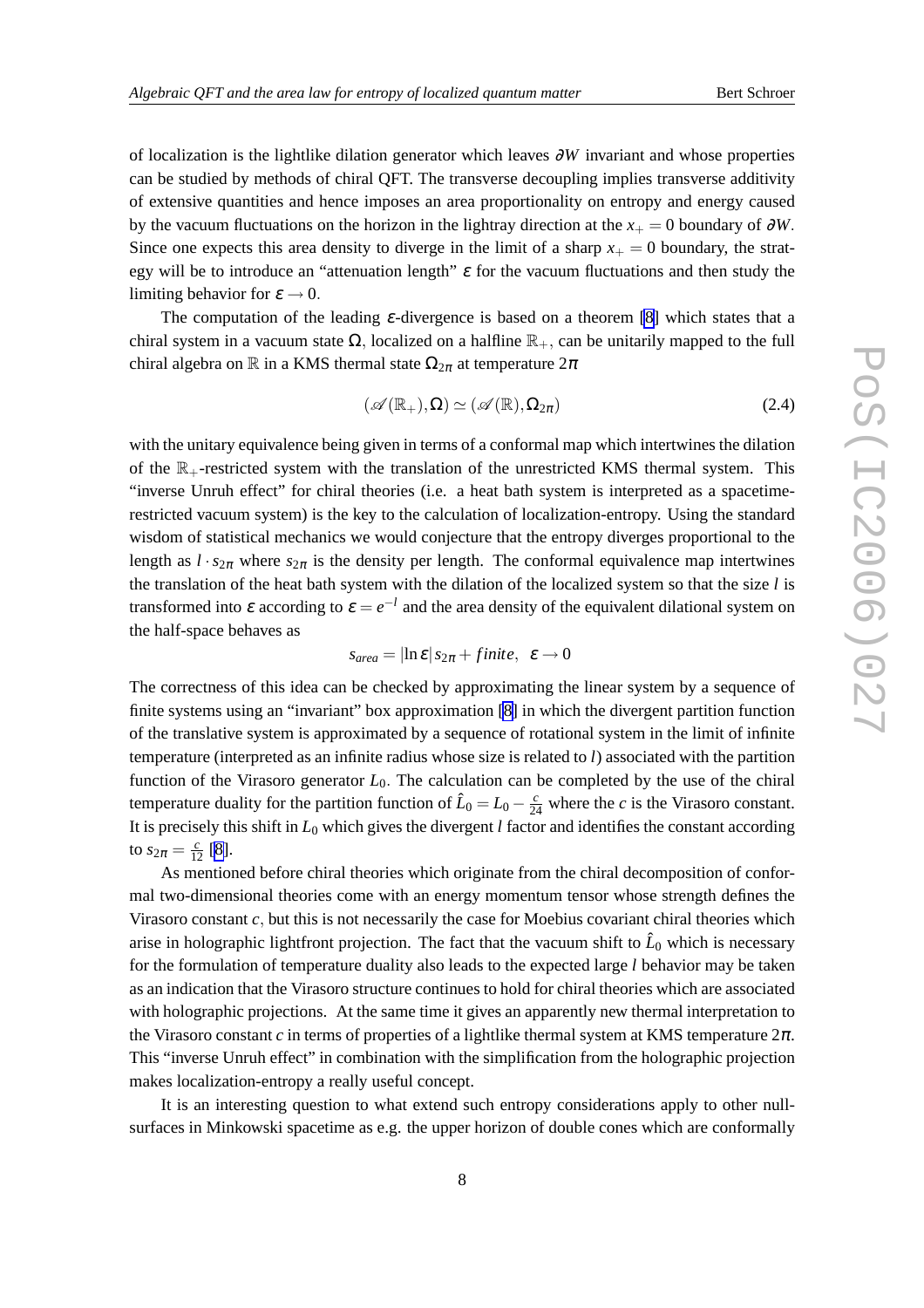of localization is the lightlike dilation generator which leaves ∂*W* invariant and whose properties can be studied by methods of chiral QFT. The transverse decoupling implies transverse additivity of extensive quantities and hence imposes an area proportionality on entropy and energy caused by the vacuum fluctuations on the horizon in the lightray direction at the  $x_{+} = 0$  boundary of  $\partial W$ . Since one expects this area density to diverge in the limit of a sharp  $x_{+} = 0$  boundary, the strategy will be to introduce an "attenuation length"  $\varepsilon$  for the vacuum fluctuations and then study the limiting behavior for  $\varepsilon \to 0$ .

The computation of the leading  $\varepsilon$ -divergence is based on a theorem [\[8\]](#page-10-0) which states that a chiral system in a vacuum state  $\Omega$ , localized on a halfline  $\mathbb{R}_+$ , can be unitarily mapped to the full chiral algebra on R in a KMS thermal state  $\Omega_{2\pi}$  at temperature  $2\pi$ 

$$
(\mathscr{A}(\mathbb{R}_{+}),\Omega)\simeq(\mathscr{A}(\mathbb{R}),\Omega_{2\pi})
$$
\n(2.4)

with the unitary equivalence being given in terms of a conformal map which intertwines the dilation of the  $\mathbb{R}_+$ -restricted system with the translation of the unrestricted KMS thermal system. This "inverse Unruh effect" for chiral theories (i.e. a heat bath system is interpreted as a spacetimerestricted vacuum system) is the key to the calculation of localization-entropy. Using the standard wisdom of statistical mechanics we would conjecture that the entropy diverges proportional to the length as  $l \cdot s_{2\pi}$  where  $s_{2\pi}$  is the density per length. The conformal equivalence map intertwines the translation of the heat bath system with the dilation of the localized system so that the size *l* is transformed into  $\varepsilon$  according to  $\varepsilon = e^{-l}$  and the area density of the equivalent dilational system on the half-space behaves as

$$
s_{area} = |\ln \varepsilon| s_{2\pi} + finite, \ \varepsilon \to 0
$$

The correctness of this idea can be checked by approximating the linear system by a sequence of finite systems using an "invariant" box approximation [\[8\]](#page-10-0) in which the divergent partition function of the translative system is approximated by a sequence of rotational system in the limit of infinite temperature (interpreted as an infinite radius whose size is related to *l*) associated with the partition function of the Virasoro generator *L*0. The calculation can be completed by the use of the chiral temperature duality for the partition function of  $\hat{L}_0 = L_0 - \frac{c}{24}$  where the *c* is the Virasoro constant. It is precisely this shift in *L*<sup>0</sup> which gives the divergent *l* factor and identifies the constant according to  $s_{2\pi} = \frac{c}{12}$  [\[8\]](#page-10-0).

As mentioned before chiral theories which originate from the chiral decomposition of conformal two-dimensional theories come with an energy momentum tensor whose strength defines the Virasoro constant *c*, but this is not necessarily the case for Moebius covariant chiral theories which arise in holographic lightfront projection. The fact that the vacuum shift to  $\hat{L}_0$  which is necessary for the formulation of temperature duality also leads to the expected large *l* behavior may be taken as an indication that the Virasoro structure continues to hold for chiral theories which are associated with holographic projections. At the same time it gives an apparently new thermal interpretation to the Virasoro constant *c* in terms of properties of a lightlike thermal system at KMS temperature  $2\pi$ . This "inverse Unruh effect" in combination with the simplification from the holographic projection makes localization-entropy a really useful concept.

It is an interesting question to what extend such entropy considerations apply to other nullsurfaces in Minkowski spacetime as e.g. the upper horizon of double cones which are conformally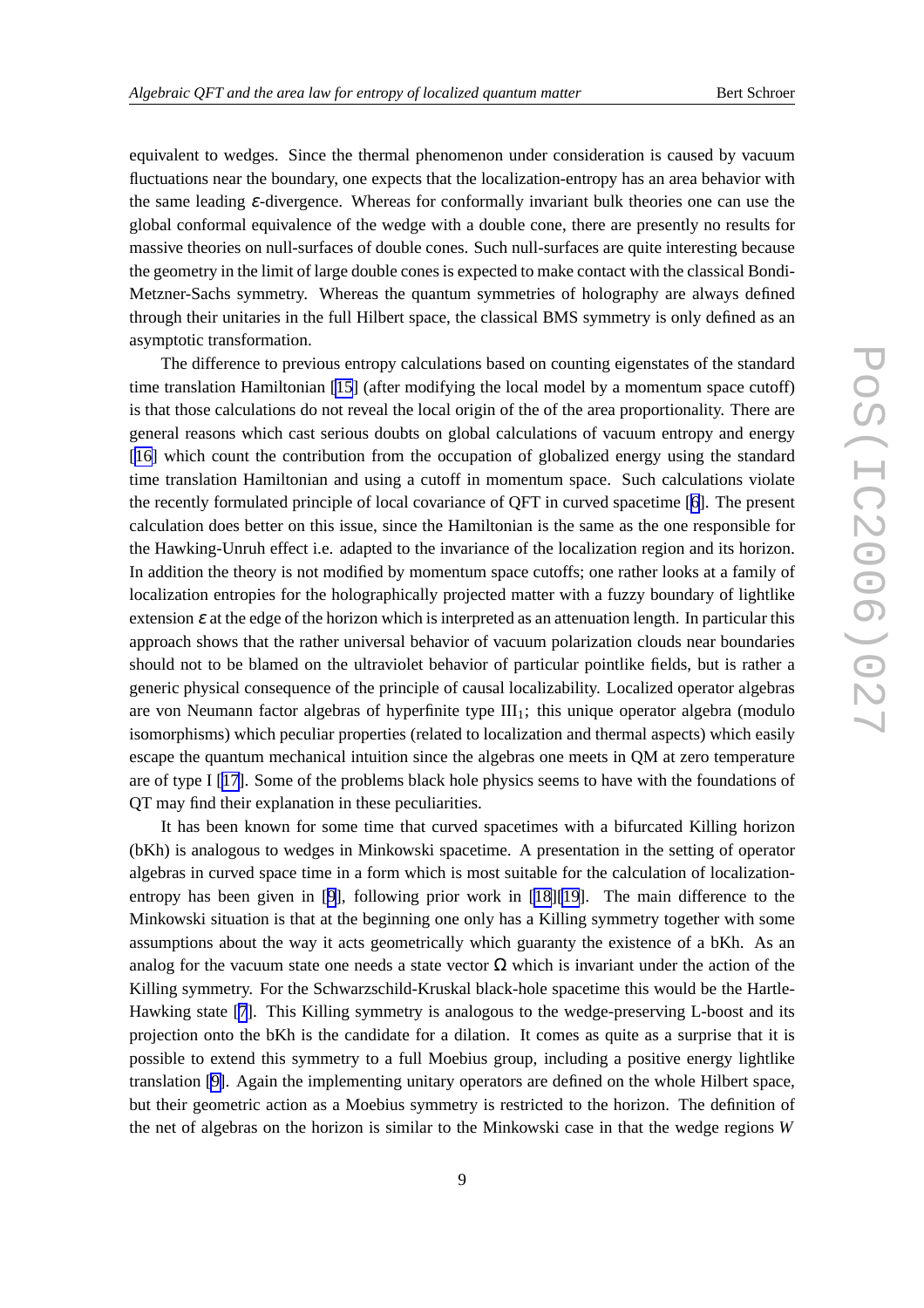equivalent to wedges. Since the thermal phenomenon under consideration is caused by vacuum fluctuations near the boundary, one expects that the localization-entropy has an area behavior with the same leading <sup>ε</sup>-divergence. Whereas for conformally invariant bulk theories one can use the global conformal equivalence of the wedge with a double cone, there are presently no results for massive theories on null-surfaces of double cones. Such null-surfaces are quite interesting because the geometry in the limit of large double cones is expected to make contact with the classical Bondi-Metzner-Sachs symmetry. Whereas the quantum symmetries of holography are always defined through their unitaries in the full Hilbert space, the classical BMS symmetry is only defined as an asymptotic transformation.

The difference to previous entropy calculations based on counting eigenstates of the standard time translation Hamiltonian [\[15](#page-10-0)] (after modifying the local model by a momentum space cutoff) is that those calculations do not reveal the local origin of the of the area proportionality. There are general reasons which cast serious doubts on global calculations of vacuum entropy and energy [[16\]](#page-10-0) which count the contribution from the occupation of globalized energy using the standard time translation Hamiltonian and using a cutoff in momentum space. Such calculations violate the recently formulated principle of local covariance of QFT in curved spacetime [[6](#page-10-0)]. The present calculation does better on this issue, since the Hamiltonian is the same as the one responsible for the Hawking-Unruh effect i.e. adapted to the invariance of the localization region and its horizon. In addition the theory is not modified by momentum space cutoffs; one rather looks at a family of localization entropies for the holographically projected matter with a fuzzy boundary of lightlike extension  $\varepsilon$  at the edge of the horizon which is interpreted as an attenuation length. In particular this approach shows that the rather universal behavior of vacuum polarization clouds near boundaries should not to be blamed on the ultraviolet behavior of particular pointlike fields, but is rather a generic physical consequence of the principle of causal localizability. Localized operator algebras are von Neumann factor algebras of hyperfinite type  $III<sub>1</sub>$ ; this unique operator algebra (modulo isomorphisms) which peculiar properties (related to localization and thermal aspects) which easily escape the quantum mechanical intuition since the algebras one meets in QM at zero temperature are of type I [[17\]](#page-10-0). Some of the problems black hole physics seems to have with the foundations of QT may find their explanation in these peculiarities.

It has been known for some time that curved spacetimes with a bifurcated Killing horizon (bKh) is analogous to wedges in Minkowski spacetime. A presentation in the setting of operator algebras in curved space time in a form which is most suitable for the calculation of localizationentropy has been given in [[9](#page-10-0)], following prior work in [\[18](#page-10-0)][\[19](#page-10-0)]. The main difference to the Minkowski situation is that at the beginning one only has a Killing symmetry together with some assumptions about the way it acts geometrically which guaranty the existence of a bKh. As an analog for the vacuum state one needs a state vector  $\Omega$  which is invariant under the action of the Killing symmetry. For the Schwarzschild-Kruskal black-hole spacetime this would be the Hartle-Hawking state [[7](#page-10-0)]. This Killing symmetry is analogous to the wedge-preserving L-boost and its projection onto the bKh is the candidate for a dilation. It comes as quite as a surprise that it is possible to extend this symmetry to a full Moebius group, including a positive energy lightlike translation [\[9\]](#page-10-0). Again the implementing unitary operators are defined on the whole Hilbert space, but their geometric action as a Moebius symmetry is restricted to the horizon. The definition of the net of algebras on the horizon is similar to the Minkowski case in that the wedge regions *W*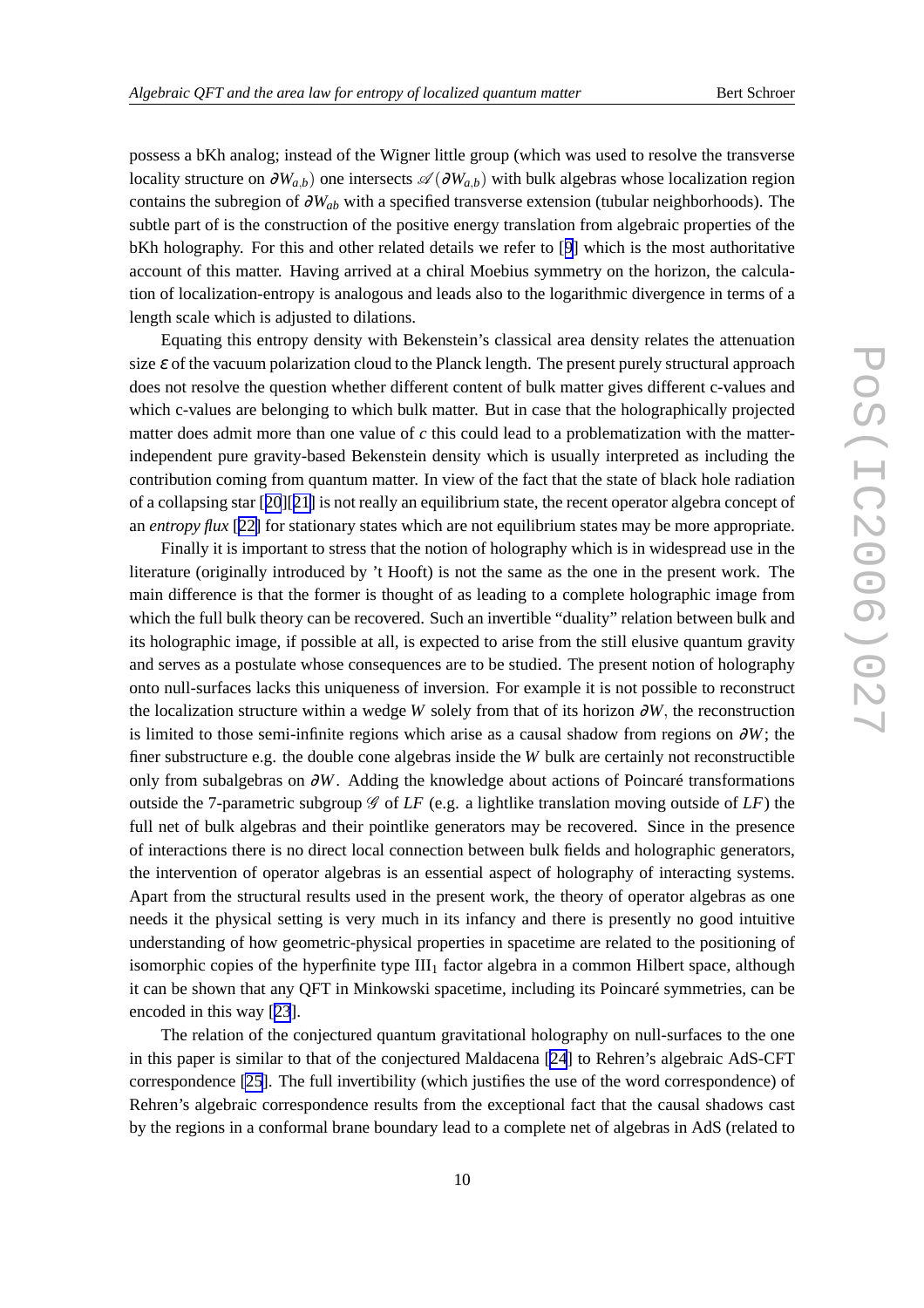possess a bKh analog; instead of the Wigner little group (which was used to resolve the transverse locality structure on  $\partial W_{a,b}$ ) one intersects  $\mathscr{A}(\partial W_{a,b})$  with bulk algebras whose localization region contains the subregion of <sup>∂</sup>*Wab* with a specified transverse extension (tubular neighborhoods). The subtle part of is the construction of the positive energy translation from algebraic properties of the bKh holography. For this and other related details we refer to [[9\]](#page-10-0) which is the most authoritative account of this matter. Having arrived at a chiral Moebius symmetry on the horizon, the calculation of localization-entropy is analogous and leads also to the logarithmic divergence in terms of a length scale which is adjusted to dilations.

Equating this entropy density with Bekenstein's classical area density relates the attenuation size  $\varepsilon$  of the vacuum polarization cloud to the Planck length. The present purely structural approach does not resolve the question whether different content of bulk matter gives different c-values and which c-values are belonging to which bulk matter. But in case that the holographically projected matter does admit more than one value of *c* this could lead to a problematization with the matterindependent pure gravity-based Bekenstein density which is usually interpreted as including the contribution coming from quantum matter. In view of the fact that the state of black hole radiation of a collapsing star [[20](#page-10-0)][[21\]](#page-10-0) is not really an equilibrium state, the recent operator algebra concept of an *entropy flux* [[22\]](#page-10-0) for stationary states which are not equilibrium states may be more appropriate.

Finally it is important to stress that the notion of holography which is in widespread use in the literature (originally introduced by 't Hooft) is not the same as the one in the present work. The main difference is that the former is thought of as leading to a complete holographic image from which the full bulk theory can be recovered. Such an invertible "duality" relation between bulk and its holographic image, if possible at all, is expected to arise from the still elusive quantum gravity and serves as a postulate whose consequences are to be studied. The present notion of holography onto null-surfaces lacks this uniqueness of inversion. For example it is not possible to reconstruct the localization structure within a wedge *W* solely from that of its horizon ∂*W*, the reconstruction is limited to those semi-infinite regions which arise as a causal shadow from regions on  $\partial W$ ; the finer substructure e.g. the double cone algebras inside the *W* bulk are certainly not reconstructible only from subalgebras on ∂*W*. Adding the knowledge about actions of Poincaré transformations outside the 7-parametric subgroup  $\mathscr G$  of *LF* (e.g. a lightlike translation moving outside of *LF*) the full net of bulk algebras and their pointlike generators may be recovered. Since in the presence of interactions there is no direct local connection between bulk fields and holographic generators, the intervention of operator algebras is an essential aspect of holography of interacting systems. Apart from the structural results used in the present work, the theory of operator algebras as one needs it the physical setting is very much in its infancy and there is presently no good intuitive understanding of how geometric-physical properties in spacetime are related to the positioning of isomorphic copies of the hyperfinite type  $III_1$  factor algebra in a common Hilbert space, although it can be shown that any QFT in Minkowski spacetime, including its Poincaré symmetries, can be encoded in this way [[23](#page-10-0)].

The relation of the conjectured quantum gravitational holography on null-surfaces to the one in this paper is similar to that of the conjectured Maldacena [\[24](#page-10-0)] to Rehren's algebraic AdS-CFT correspondence [\[25](#page-10-0)]. The full invertibility (which justifies the use of the word correspondence) of Rehren's algebraic correspondence results from the exceptional fact that the causal shadows cast by the regions in a conformal brane boundary lead to a complete net of algebras in AdS (related to